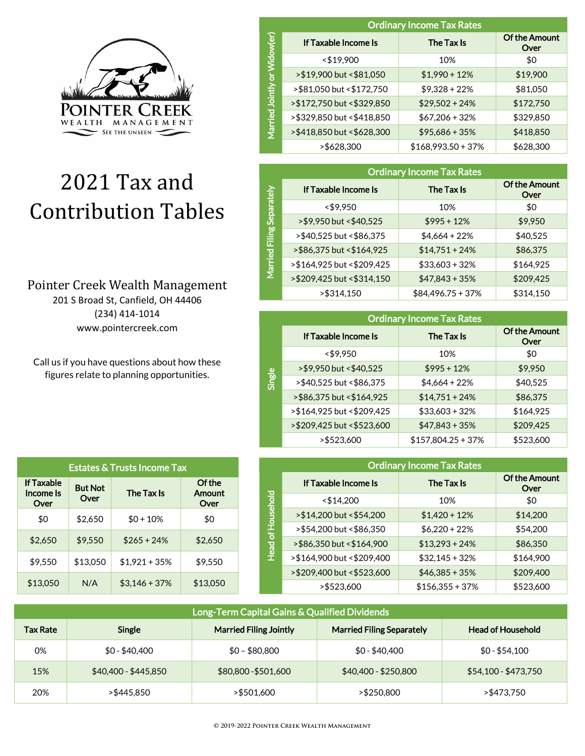

# 2021 Tax and Contribution Tables

## Pointer Creek Wealth Management

201 S Broad St, Canfield, OH 44406 (234) 414-1014 www.pointercreek.com

Call us if you have questions about how these figures relate to planning opportunities.

| <b>Estates &amp; Trusts Income Tax</b> |                        |                 |                          |
|----------------------------------------|------------------------|-----------------|--------------------------|
| <b>If Taxable</b><br>Income Is<br>Over | <b>But Not</b><br>Over | The Tax Is      | Of the<br>Amount<br>Over |
| \$0                                    | \$2,650                | $$0 + 10\%$     | \$0                      |
| \$2,650                                | \$9.550                | $$265 + 24\%$   | \$2.650                  |
| \$9.550                                | \$13,050               | $$1,921 + 35\%$ | \$9.550                  |
| \$13,050                               | N/A                    | $$3,146 + 37\%$ | \$13,050                 |

|               | <b>Ordinary Income Tax Rates</b> |                      |                              |  |
|---------------|----------------------------------|----------------------|------------------------------|--|
| 6<br>õ        | If Taxable Income Is             | The Tax Is           | <b>Of the Amount</b><br>Over |  |
|               | $<$ \$19,900                     | 10%                  | \$0                          |  |
| ð             | >\$19,900 but <\$81,050          | $$1,990 + 12\%$      | \$19,900                     |  |
|               | >\$81,050 but <\$172,750         | $$9,328 + 22\%$      | \$81,050                     |  |
| <b>Jointh</b> | > \$172,750 but < \$329,850      | $$29,502 + 24\%$     | \$172,750                    |  |
| Married       | >\$329,850 but <\$418,850        | $$67,206 + 32\%$     | \$329,850                    |  |
|               | >\$418,850 but <\$628,300        | $$95,686 + 35\%$     | \$418,850                    |  |
|               | >\$628,300                       | $$168,993.50 + 37\%$ | \$628,300                    |  |

|                          | <b>Ordinary Income Tax Rates</b> |                  |                              |  |
|--------------------------|----------------------------------|------------------|------------------------------|--|
|                          | If Taxable Income Is             | The Tax Is       | <b>Of the Amount</b><br>Over |  |
|                          | < \$9,950                        | 10%              | \$0                          |  |
|                          | >\$9,950 but <\$40,525           | $$995 + 12\%$    | \$9,950                      |  |
| Married Filing Separatel | >\$40,525 but <\$86,375          | $$4,664 + 22\%$  | \$40,525                     |  |
|                          | >\$86,375 but <\$164,925         | $$14,751 + 24\%$ | \$86,375                     |  |
|                          | > \$164,925 but < \$209,425      | $$33,603 + 32\%$ | \$164,925                    |  |
|                          | >\$209,425 but <\$314,150        | $$47,843 + 35\%$ | \$209,425                    |  |
|                          | >\$314,150                       | $$84,496.75+37%$ | \$314,150                    |  |

|        | <b>Ordinary Income Tax Rates</b> |                      |                              |  |
|--------|----------------------------------|----------------------|------------------------------|--|
|        | If Taxable Income Is             | The Tax Is           | <b>Of the Amount</b><br>Over |  |
|        | $<$ \$9.950                      | 10%                  | \$0                          |  |
|        | > \$9,950 but < \$40,525         | $$995 + 12\%$        | \$9,950                      |  |
| Single | >\$40,525 but <\$86,375          | $$4,664 + 22\%$      | \$40,525                     |  |
|        | >\$86,375 but <\$164,925         | $$14,751 + 24\%$     | \$86,375                     |  |
|        | >\$164,925 but <\$209,425        | $$33,603 + 32\%$     | \$164,925                    |  |
|        | >\$209,425 but <\$523,600        | $$47,843 + 35\%$     | \$209,425                    |  |
|        | >\$523,600                       | $$157,804.25 + 37\%$ | \$523,600                    |  |

|                   | <b>Ordinary Income Tax Rates</b> |                   |                              |  |
|-------------------|----------------------------------|-------------------|------------------------------|--|
|                   | If Taxable Income Is             | The Tax Is        | <b>Of the Amount</b><br>Over |  |
|                   | $<$ \$14,200                     | 10%               | \$0                          |  |
|                   | >\$14,200 but <\$54,200          | $$1,420 + 12\%$   | \$14,200                     |  |
|                   | >\$54,200 but <\$86,350          | $$6,220 + 22\%$   | \$54,200                     |  |
| Head of Household | >\$86,350 but <\$164,900         | $$13,293 + 24\%$  | \$86,350                     |  |
|                   | >\$164,900 but <\$209,400        | $$32,145+32%$     | \$164,900                    |  |
|                   | >\$209,400 but <\$523,600        | $$46,385 + 35\%$  | \$209,400                    |  |
|                   | >\$523,600                       | $$156,355 + 37\%$ | \$523,600                    |  |

| Long-Term Capital Gains & Qualified Dividends |                      |                               |                                  |                          |
|-----------------------------------------------|----------------------|-------------------------------|----------------------------------|--------------------------|
| <b>Tax Rate</b>                               | Single               | <b>Married Filing Jointly</b> | <b>Married Filing Separately</b> | <b>Head of Household</b> |
| 0%                                            | $$0 - $40.400$       | $$0 - $80,800$                | $$0 - $40,400$                   | $$0 - $54,100$           |
| 15%                                           | $$40,400 - $445,850$ | \$80,800 - \$501,600          | \$40,400 - \$250,800             | \$54,100 - \$473,750     |
| 20%                                           | >\$445.850           | >\$501.600                    | > \$250.800                      | >\$473.750               |